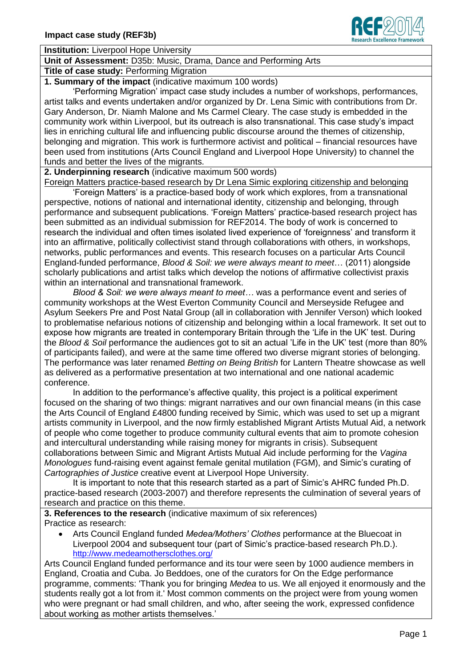

**Institution:** Liverpool Hope University

## **Unit of Assessment:** D35b: Music, Drama, Dance and Performing Arts

**Title of case study:** Performing Migration

**1. Summary of the impact** (indicative maximum 100 words)

'Performing Migration' impact case study includes a number of workshops, performances, artist talks and events undertaken and/or organized by Dr. Lena Simic with contributions from Dr. Gary Anderson, Dr. Niamh Malone and Ms Carmel Cleary. The case study is embedded in the community work within Liverpool, but its outreach is also transnational. This case study's impact lies in enriching cultural life and influencing public discourse around the themes of citizenship, belonging and migration. This work is furthermore activist and political – financial resources have been used from institutions (Arts Council England and Liverpool Hope University) to channel the funds and better the lives of the migrants.

**2. Underpinning research** (indicative maximum 500 words)

Foreign Matters practice-based research by Dr Lena Simic exploring citizenship and belonging

'Foreign Matters' is a practice-based body of work which explores, from a transnational perspective, notions of national and international identity, citizenship and belonging, through performance and subsequent publications. 'Foreign Matters' practice-based research project has been submitted as an individual submission for REF2014. The body of work is concerned to research the individual and often times isolated lived experience of 'foreignness' and transform it into an affirmative, politically collectivist stand through collaborations with others, in workshops, networks, public performances and events. This research focuses on a particular Arts Council England-funded performance, *Blood & Soil: we were always meant to meet*… (2011) alongside scholarly publications and artist talks which develop the notions of affirmative collectivist praxis within an international and transnational framework.

*Blood & Soil: we were always meant to meet…* was a performance event and series of community workshops at the West Everton Community Council and Merseyside Refugee and Asylum Seekers Pre and Post Natal Group (all in collaboration with Jennifer Verson) which looked to problematise nefarious notions of citizenship and belonging within a local framework. It set out to expose how migrants are treated in contemporary Britain through the 'Life in the UK' test. During the *Blood & Soil* performance the audiences got to sit an actual 'Life in the UK' test (more than 80% of participants failed), and were at the same time offered two diverse migrant stories of belonging. The performance was later renamed *Betting on Being British* for Lantern Theatre showcase as well as delivered as a performative presentation at two international and one national academic conference.

In addition to the performance's affective quality, this project is a political experiment focused on the sharing of two things: migrant narratives and our own financial means (in this case the Arts Council of England £4800 funding received by Simic, which was used to set up a migrant artists community in Liverpool, and the now firmly established Migrant Artists Mutual Aid, a network of people who come together to produce community cultural events that aim to promote cohesion and intercultural understanding while raising money for migrants in crisis). Subsequent collaborations between Simic and Migrant Artists Mutual Aid include performing for the *Vagina Monologues* fund-raising event against female genital mutilation (FGM), and Simic's curating of *Cartographies of Justice* creative event at Liverpool Hope University.

It is important to note that this research started as a part of Simic's AHRC funded Ph.D. practice-based research (2003-2007) and therefore represents the culmination of several years of research and practice on this theme.

**3. References to the research** (indicative maximum of six references) Practice as research:

 Arts Council England funded *Medea/Mothers' Clothes* performance at the Bluecoat in Liverpool 2004 and subsequent tour (part of Simic's practice-based research Ph.D.). <http://www.medeamothersclothes.org/>

Arts Council England funded performance and its tour were seen by 1000 audience members in England, Croatia and Cuba. Jo Beddoes, one of the curators for On the Edge performance programme, comments: 'Thank you for bringing *Medea* to us. We all enjoyed it enormously and the students really got a lot from it.' Most common comments on the project were from young women who were pregnant or had small children, and who, after seeing the work, expressed confidence about working as mother artists themselves.'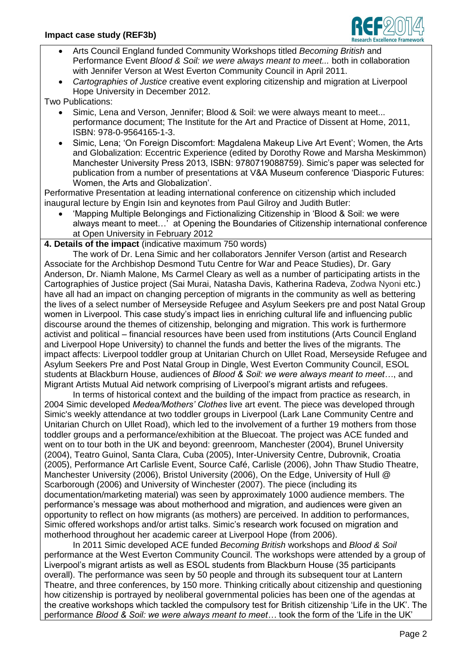

- Arts Council England funded Community Workshops titled *Becoming British* and Performance Event *Blood & Soil: we were always meant to meet...* both in collaboration with Jennifer Verson at West Everton Community Council in April 2011.
- *Cartographies of Justice* creative event exploring citizenship and migration at Liverpool Hope University in December 2012.

Two Publications:

- Simic, Lena and Verson, Jennifer; Blood & Soil: we were always meant to meet... performance document; The Institute for the Art and Practice of Dissent at Home, 2011, ISBN: 978-0-9564165-1-3.
- Simic, Lena; 'On Foreign Discomfort: Magdalena Makeup Live Art Event'; Women, the Arts and Globalization: Eccentric Experience (edited by Dorothy Rowe and Marsha Meskimmon) Manchester University Press 2013, ISBN: 9780719088759). Simic's paper was selected for publication from a number of presentations at V&A Museum conference 'Diasporic Futures: Women, the Arts and Globalization'.

Performative Presentation at leading international conference on citizenship which included inaugural lecture by Engin Isin and keynotes from Paul Gilroy and Judith Butler:

 'Mapping Multiple Belongings and Fictionalizing Citizenship in 'Blood & Soil: we were always meant to meet…' at Opening the Boundaries of Citizenship international conference at Open University in February 2012

**4. Details of the impact** (indicative maximum 750 words)

The work of Dr. Lena Simic and her collaborators Jennifer Verson (artist and Research Associate for the Archbishop Desmond Tutu Centre for War and Peace Studies), Dr. Gary Anderson, Dr. Niamh Malone, Ms Carmel Cleary as well as a number of participating artists in the Cartographies of Justice project (Sai Murai, Natasha Davis, Katherina Radeva, Zodwa Nyoni etc.) have all had an impact on changing perception of migrants in the community as well as bettering the lives of a select number of Merseyside Refugee and Asylum Seekers pre and post Natal Group women in Liverpool. This case study's impact lies in enriching cultural life and influencing public discourse around the themes of citizenship, belonging and migration. This work is furthermore activist and political – financial resources have been used from institutions (Arts Council England and Liverpool Hope University) to channel the funds and better the lives of the migrants. The impact affects: Liverpool toddler group at Unitarian Church on Ullet Road, Merseyside Refugee and Asylum Seekers Pre and Post Natal Group in Dingle, West Everton Community Council, ESOL students at Blackburn House, audiences of *Blood & Soil: we were always meant to meet…*, and Migrant Artists Mutual Aid network comprising of Liverpool's migrant artists and refugees.

In terms of historical context and the building of the impact from practice as research, in 2004 Simic developed *Medea/Mothers' Clothes* live art event. The piece was developed through Simic's weekly attendance at two toddler groups in Liverpool (Lark Lane Community Centre and Unitarian Church on Ullet Road), which led to the involvement of a further 19 mothers from those toddler groups and a performance/exhibition at the Bluecoat. The project was ACE funded and went on to tour both in the UK and beyond: greenroom, Manchester (2004), Brunel University (2004), Teatro Guinol, Santa Clara, Cuba (2005), Inter-University Centre, Dubrovnik, Croatia (2005), Performance Art Carlisle Event, Source Café, Carlisle (2006), John Thaw Studio Theatre, Manchester University (2006), Bristol University (2006), On the Edge, University of Hull @ Scarborough (2006) and University of Winchester (2007). The piece (including its documentation/marketing material) was seen by approximately 1000 audience members. The performance's message was about motherhood and migration, and audiences were given an opportunity to reflect on how migrants (as mothers) are perceived. In addition to performances, Simic offered workshops and/or artist talks. Simic's research work focused on migration and motherhood throughout her academic career at Liverpool Hope (from 2006).

In 2011 Simic developed ACE funded *Becoming British* workshops and *Blood & Soil* performance at the West Everton Community Council. The workshops were attended by a group of Liverpool's migrant artists as well as ESOL students from Blackburn House (35 participants overall). The performance was seen by 50 people and through its subsequent tour at Lantern Theatre, and three conferences, by 150 more. Thinking critically about citizenship and questioning how citizenship is portrayed by neoliberal governmental policies has been one of the agendas at the creative workshops which tackled the compulsory test for British citizenship 'Life in the UK'. The performance *Blood & Soil: we were always meant to meet…* took the form of the 'Life in the UK'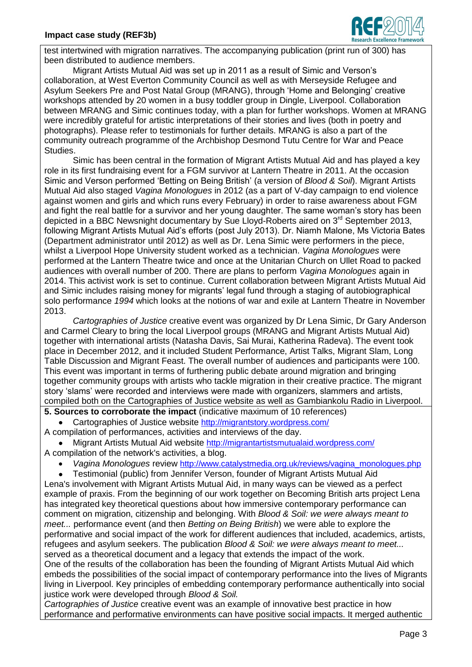

test intertwined with migration narratives. The accompanying publication (print run of 300) has been distributed to audience members.

Migrant Artists Mutual Aid was set up in 2011 as a result of Simic and Verson's collaboration, at West Everton Community Council as well as with Merseyside Refugee and Asylum Seekers Pre and Post Natal Group (MRANG), through 'Home and Belonging' creative workshops attended by 20 women in a busy toddler group in Dingle, Liverpool. Collaboration between MRANG and Simic continues today, with a plan for further workshops. Women at MRANG were incredibly grateful for artistic interpretations of their stories and lives (both in poetry and photographs). Please refer to testimonials for further details. MRANG is also a part of the community outreach programme of the Archbishop Desmond Tutu Centre for War and Peace Studies.

Simic has been central in the formation of Migrant Artists Mutual Aid and has played a key role in its first fundraising event for a FGM survivor at Lantern Theatre in 2011. At the occasion Simic and Verson performed 'Betting on Being British' (a version of *Blood & Soil*). Migrant Artists Mutual Aid also staged *Vagina Monologues* in 2012 (as a part of V-day campaign to end violence against women and girls and which runs every February) in order to raise awareness about FGM and fight the real battle for a survivor and her young daughter. The same woman's story has been depicted in a BBC Newsnight documentary by Sue Lloyd-Roberts aired on  $3<sup>rd</sup>$  September 2013, following Migrant Artists Mutual Aid's efforts (post July 2013). Dr. Niamh Malone, Ms Victoria Bates (Department administrator until 2012) as well as Dr. Lena Simic were performers in the piece, whilst a Liverpool Hope University student worked as a technician. *Vagina Monologues* were performed at the Lantern Theatre twice and once at the Unitarian Church on Ullet Road to packed audiences with overall number of 200. There are plans to perform *Vagina Monologues* again in 2014. This activist work is set to continue. Current collaboration between Migrant Artists Mutual Aid and Simic includes raising money for migrants' legal fund through a staging of autobiographical solo performance *1994* which looks at the notions of war and exile at Lantern Theatre in November 2013.

*Cartographies of Justice* creative event was organized by Dr Lena Simic, Dr Gary Anderson and Carmel Cleary to bring the local Liverpool groups (MRANG and Migrant Artists Mutual Aid) together with international artists (Natasha Davis, Sai Murai, Katherina Radeva). The event took place in December 2012, and it included Student Performance, Artist Talks, Migrant Slam, Long Table Discussion and Migrant Feast. The overall number of audiences and participants were 100. This event was important in terms of furthering public debate around migration and bringing together community groups with artists who tackle migration in their creative practice. The migrant story 'slams' were recorded and interviews were made with organizers, slammers and artists, compiled both on the Cartographies of Justice website as well as Gambiankolu Radio in Liverpool.

**5. Sources to corroborate the impact** (indicative maximum of 10 references)

Cartographies of Justice website <http://migrantstory.wordpress.com/>

A compilation of performances, activities and interviews of the day.

 Migrant Artists Mutual Aid website <http://migrantartistsmutualaid.wordpress.com/> A compilation of the network's activities, a blog.

*Vagina Monologues* review [http://www.catalystmedia.org.uk/reviews/vagina\\_monologues.php](http://www.catalystmedia.org.uk/reviews/vagina_monologues.php)

Testimonial (public) from Jennifer Verson, founder of Migrant Artists Mutual Aid

Lena's involvement with Migrant Artists Mutual Aid, in many ways can be viewed as a perfect example of praxis. From the beginning of our work together on Becoming British arts project Lena has integrated key theoretical questions about how immersive contemporary performance can comment on migration, citizenship and belonging. With *Blood & Soil: we were always meant to meet...* performance event (and then *Betting on Being British*) we were able to explore the performative and social impact of the work for different audiences that included, academics, artists, refugees and asylum seekers. The publication *Blood & Soil: we were always meant to meet...*  served as a theoretical document and a legacy that extends the impact of the work. One of the results of the collaboration has been the founding of Migrant Artists Mutual Aid which embeds the possibilities of the social impact of contemporary performance into the lives of Migrants living in Liverpool. Key principles of embedding contemporary performance authentically into social justice work were developed through *Blood & Soil.*

*Cartographies of Justice* creative event was an example of innovative best practice in how performance and performative environments can have positive social impacts. It merged authentic